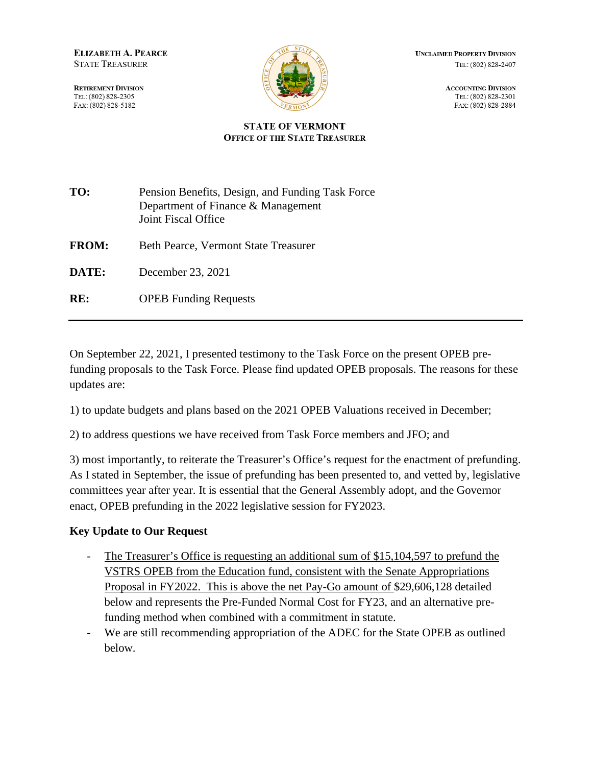**ELIZABETH A. PEARCE STATE TREASURER** 

**RETIREMENT DIVISION** TEL: (802) 828-2305 FAX: (802) 828-5182



**UNCLAIMED PROPERTY DIVISION** TEL: (802) 828-2407

> **ACCOUNTING DIVISION** TEL: (802) 828-2301 FAX: (802) 828-2884

#### **STATE OF VERMONT OFFICE OF THE STATE TREASURER**

| TO:          | Pension Benefits, Design, and Funding Task Force<br>Department of Finance & Management<br>Joint Fiscal Office |
|--------------|---------------------------------------------------------------------------------------------------------------|
| <b>FROM:</b> | <b>Beth Pearce, Vermont State Treasurer</b>                                                                   |
| DATE:        | December 23, 2021                                                                                             |
| RE:          | <b>OPEB</b> Funding Requests                                                                                  |

On September 22, 2021, I presented testimony to the Task Force on the present OPEB prefunding proposals to the Task Force. Please find updated OPEB proposals. The reasons for these updates are:

1) to update budgets and plans based on the 2021 OPEB Valuations received in December;

2) to address questions we have received from Task Force members and JFO; and

3) most importantly, to reiterate the Treasurer's Office's request for the enactment of prefunding. As I stated in September, the issue of prefunding has been presented to, and vetted by, legislative committees year after year. It is essential that the General Assembly adopt, and the Governor enact, OPEB prefunding in the 2022 legislative session for FY2023.

### **Key Update to Our Request**

- The Treasurer's Office is requesting an additional sum of \$15,104,597 to prefund the VSTRS OPEB from the Education fund, consistent with the Senate Appropriations Proposal in FY2022. This is above the net Pay-Go amount of \$29,606,128 detailed below and represents the Pre-Funded Normal Cost for FY23, and an alternative prefunding method when combined with a commitment in statute.
- We are still recommending appropriation of the ADEC for the State OPEB as outlined below.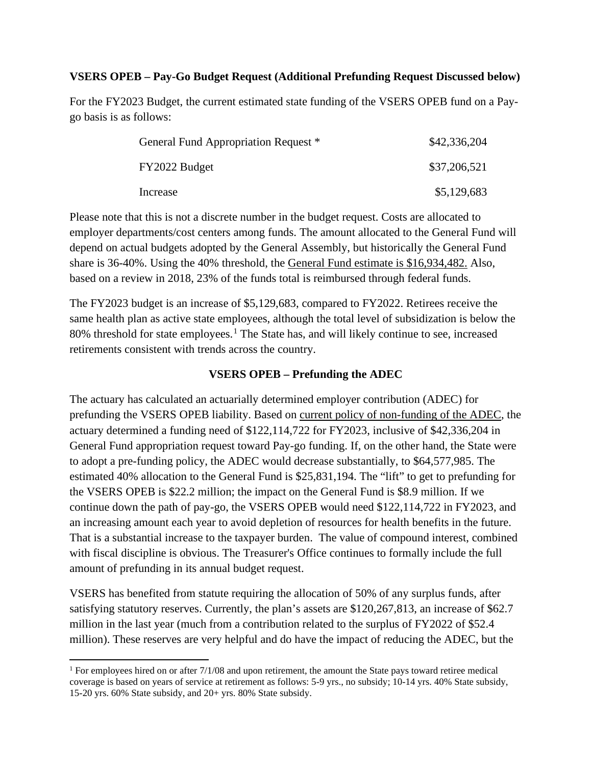### **VSERS OPEB – Pay-Go Budget Request (Additional Prefunding Request Discussed below)**

For the FY2023 Budget, the current estimated state funding of the VSERS OPEB fund on a Paygo basis is as follows:

| General Fund Appropriation Request * | \$42,336,204 |
|--------------------------------------|--------------|
| FY2022 Budget                        | \$37,206,521 |
| Increase                             | \$5,129,683  |

Please note that this is not a discrete number in the budget request. Costs are allocated to employer departments/cost centers among funds. The amount allocated to the General Fund will depend on actual budgets adopted by the General Assembly, but historically the General Fund share is 36-40%. Using the 40% threshold, the General Fund estimate is \$16,934,482. Also, based on a review in 2018, 23% of the funds total is reimbursed through federal funds.

The FY2023 budget is an increase of \$5,129,683, compared to FY2022. Retirees receive the same health plan as active state employees, although the total level of subsidization is below the 80% threshold for state employees.<sup>[1](#page-1-0)</sup> The State has, and will likely continue to see, increased retirements consistent with trends across the country.

### **VSERS OPEB – Prefunding the ADEC**

The actuary has calculated an actuarially determined employer contribution (ADEC) for prefunding the VSERS OPEB liability. Based on current policy of non-funding of the ADEC, the actuary determined a funding need of \$122,114,722 for FY2023, inclusive of \$42,336,204 in General Fund appropriation request toward Pay-go funding. If, on the other hand, the State were to adopt a pre-funding policy, the ADEC would decrease substantially, to \$64,577,985. The estimated 40% allocation to the General Fund is \$25,831,194. The "lift" to get to prefunding for the VSERS OPEB is \$22.2 million; the impact on the General Fund is \$8.9 million. If we continue down the path of pay-go, the VSERS OPEB would need \$122,114,722 in FY2023, and an increasing amount each year to avoid depletion of resources for health benefits in the future. That is a substantial increase to the taxpayer burden. The value of compound interest, combined with fiscal discipline is obvious. The Treasurer's Office continues to formally include the full amount of prefunding in its annual budget request.

VSERS has benefited from statute requiring the allocation of 50% of any surplus funds, after satisfying statutory reserves. Currently, the plan's assets are \$120,267,813, an increase of \$62.7 million in the last year (much from a contribution related to the surplus of FY2022 of \$52.4 million). These reserves are very helpful and do have the impact of reducing the ADEC, but the

<span id="page-1-0"></span><sup>&</sup>lt;sup>1</sup> For employees hired on or after 7/1/08 and upon retirement, the amount the State pays toward retiree medical coverage is based on years of service at retirement as follows: 5-9 yrs., no subsidy; 10-14 yrs. 40% State subsidy, 15-20 yrs. 60% State subsidy, and 20+ yrs. 80% State subsidy.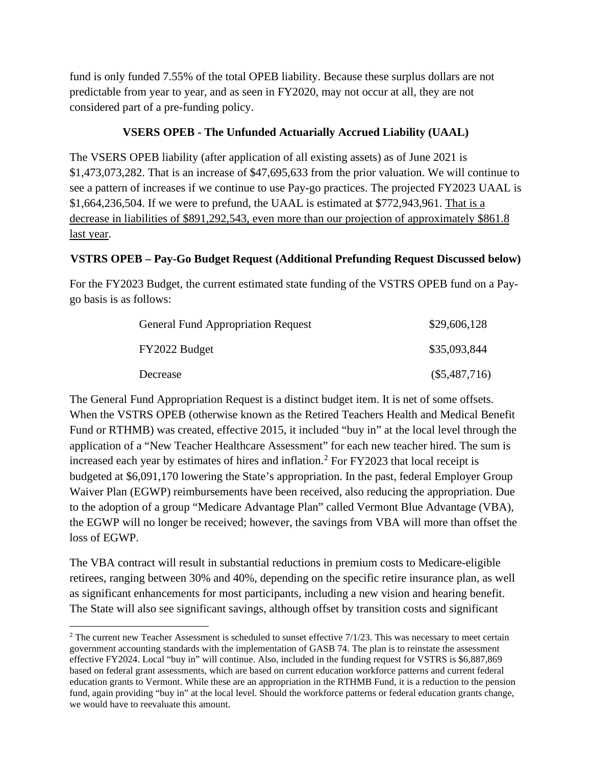fund is only funded 7.55% of the total OPEB liability. Because these surplus dollars are not predictable from year to year, and as seen in FY2020, may not occur at all, they are not considered part of a pre-funding policy.

# **VSERS OPEB - The Unfunded Actuarially Accrued Liability (UAAL)**

The VSERS OPEB liability (after application of all existing assets) as of June 2021 is \$1,473,073,282. That is an increase of \$47,695,633 from the prior valuation. We will continue to see a pattern of increases if we continue to use Pay-go practices. The projected FY2023 UAAL is \$1,664,236,504. If we were to prefund, the UAAL is estimated at \$772,943,961. That is a decrease in liabilities of \$891,292,543, even more than our projection of approximately \$861.8 last year.

# **VSTRS OPEB – Pay-Go Budget Request (Additional Prefunding Request Discussed below)**

For the FY2023 Budget, the current estimated state funding of the VSTRS OPEB fund on a Paygo basis is as follows:

| <b>General Fund Appropriation Request</b> | \$29,606,128    |
|-------------------------------------------|-----------------|
| FY2022 Budget                             | \$35,093,844    |
| Decrease                                  | $(\$5,487,716)$ |

The General Fund Appropriation Request is a distinct budget item. It is net of some offsets. When the VSTRS OPEB (otherwise known as the Retired Teachers Health and Medical Benefit Fund or RTHMB) was created, effective 2015, it included "buy in" at the local level through the application of a "New Teacher Healthcare Assessment" for each new teacher hired. The sum is increased each year by estimates of hires and inflation.<sup>[2](#page-2-0)</sup> For FY2023 that local receipt is budgeted at \$6,091,170 lowering the State's appropriation. In the past, federal Employer Group Waiver Plan (EGWP) reimbursements have been received, also reducing the appropriation. Due to the adoption of a group "Medicare Advantage Plan" called Vermont Blue Advantage (VBA), the EGWP will no longer be received; however, the savings from VBA will more than offset the loss of EGWP.

The VBA contract will result in substantial reductions in premium costs to Medicare-eligible retirees, ranging between 30% and 40%, depending on the specific retire insurance plan, as well as significant enhancements for most participants, including a new vision and hearing benefit. The State will also see significant savings, although offset by transition costs and significant

<span id="page-2-0"></span><sup>&</sup>lt;sup>2</sup> The current new Teacher Assessment is scheduled to sunset effective 7/1/23. This was necessary to meet certain government accounting standards with the implementation of GASB 74. The plan is to reinstate the assessment effective FY2024. Local "buy in" will continue. Also, included in the funding request for VSTRS is \$6,887,869 based on federal grant assessments, which are based on current education workforce patterns and current federal education grants to Vermont. While these are an appropriation in the RTHMB Fund, it is a reduction to the pension fund, again providing "buy in" at the local level. Should the workforce patterns or federal education grants change, we would have to reevaluate this amount.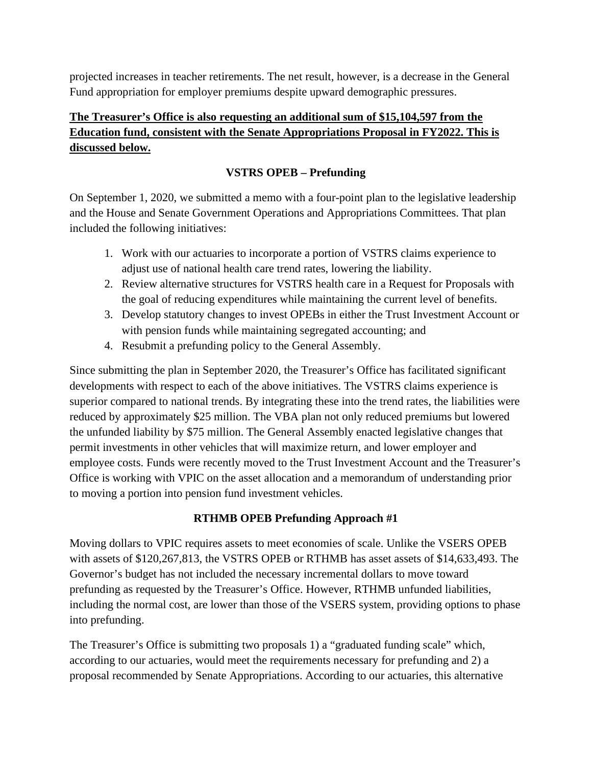projected increases in teacher retirements. The net result, however, is a decrease in the General Fund appropriation for employer premiums despite upward demographic pressures.

# **The Treasurer's Office is also requesting an additional sum of \$15,104,597 from the Education fund, consistent with the Senate Appropriations Proposal in FY2022. This is discussed below.**

# **VSTRS OPEB – Prefunding**

On September 1, 2020, we submitted a memo with a four-point plan to the legislative leadership and the House and Senate Government Operations and Appropriations Committees. That plan included the following initiatives:

- 1. Work with our actuaries to incorporate a portion of VSTRS claims experience to adjust use of national health care trend rates, lowering the liability.
- 2. Review alternative structures for VSTRS health care in a Request for Proposals with the goal of reducing expenditures while maintaining the current level of benefits.
- 3. Develop statutory changes to invest OPEBs in either the Trust Investment Account or with pension funds while maintaining segregated accounting; and
- 4. Resubmit a prefunding policy to the General Assembly.

Since submitting the plan in September 2020, the Treasurer's Office has facilitated significant developments with respect to each of the above initiatives. The VSTRS claims experience is superior compared to national trends. By integrating these into the trend rates, the liabilities were reduced by approximately \$25 million. The VBA plan not only reduced premiums but lowered the unfunded liability by \$75 million. The General Assembly enacted legislative changes that permit investments in other vehicles that will maximize return, and lower employer and employee costs. Funds were recently moved to the Trust Investment Account and the Treasurer's Office is working with VPIC on the asset allocation and a memorandum of understanding prior to moving a portion into pension fund investment vehicles.

### **RTHMB OPEB Prefunding Approach #1**

Moving dollars to VPIC requires assets to meet economies of scale. Unlike the VSERS OPEB with assets of \$120,267,813, the VSTRS OPEB or RTHMB has asset assets of \$14,633,493. The Governor's budget has not included the necessary incremental dollars to move toward prefunding as requested by the Treasurer's Office. However, RTHMB unfunded liabilities, including the normal cost, are lower than those of the VSERS system, providing options to phase into prefunding.

The Treasurer's Office is submitting two proposals 1) a "graduated funding scale" which, according to our actuaries, would meet the requirements necessary for prefunding and 2) a proposal recommended by Senate Appropriations. According to our actuaries, this alternative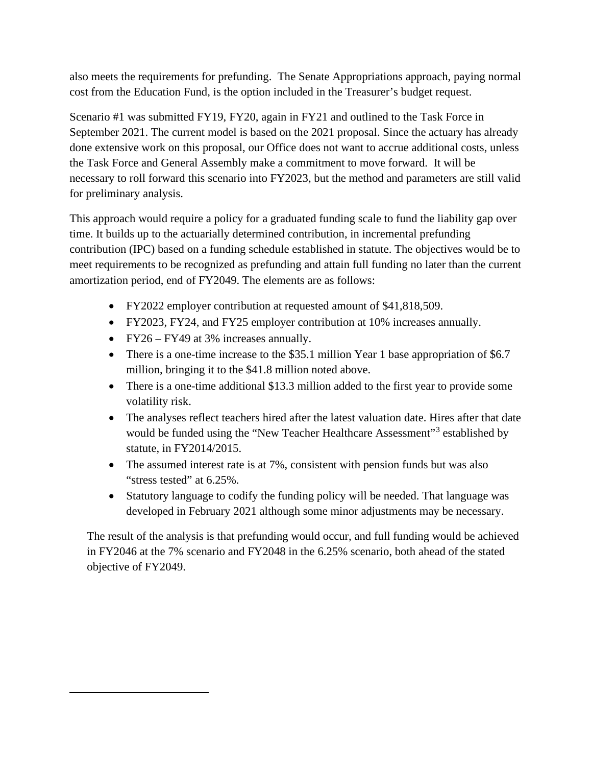also meets the requirements for prefunding. The Senate Appropriations approach, paying normal cost from the Education Fund, is the option included in the Treasurer's budget request.

Scenario #1 was submitted FY19, FY20, again in FY21 and outlined to the Task Force in September 2021. The current model is based on the 2021 proposal. Since the actuary has already done extensive work on this proposal, our Office does not want to accrue additional costs, unless the Task Force and General Assembly make a commitment to move forward. It will be necessary to roll forward this scenario into FY2023, but the method and parameters are still valid for preliminary analysis.

This approach would require a policy for a graduated funding scale to fund the liability gap over time. It builds up to the actuarially determined contribution, in incremental prefunding contribution (IPC) based on a funding schedule established in statute. The objectives would be to meet requirements to be recognized as prefunding and attain full funding no later than the current amortization period, end of FY2049. The elements are as follows:

- FY2022 employer contribution at requested amount of \$41,818,509.
- FY2023, FY24, and FY25 employer contribution at 10% increases annually.
- FY26 FY49 at 3% increases annually.
- There is a one-time increase to the \$35.1 million Year 1 base appropriation of \$6.7 million, bringing it to the \$41.8 million noted above.
- There is a one-time additional \$13.3 million added to the first year to provide some volatility risk.
- The analyses reflect teachers hired after the latest valuation date. Hires after that date would be funded using the "New Teacher Healthcare Assessment"<sup>[3](#page-4-0)</sup> established by statute, in FY2014/2015.
- The assumed interest rate is at 7%, consistent with pension funds but was also "stress tested" at 6.25%.
- Statutory language to codify the funding policy will be needed. That language was developed in February 2021 although some minor adjustments may be necessary.

<span id="page-4-0"></span>The result of the analysis is that prefunding would occur, and full funding would be achieved in FY2046 at the 7% scenario and FY2048 in the 6.25% scenario, both ahead of the stated objective of FY2049.